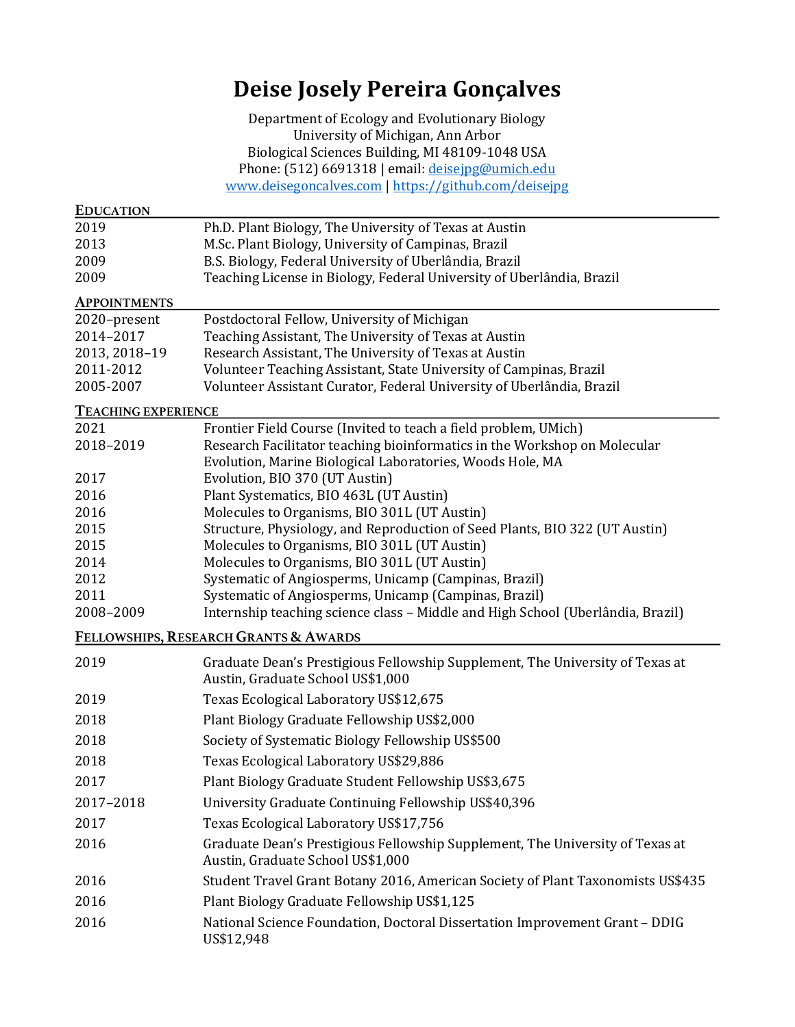# **Deise Josely Pereira Gonçalves**

Department of Ecology and Evolutionary Biology University of Michigan, Ann Arbor Biological Sciences Building, MI 48109-1048 USA Phone: (512) 6691318 | email: deisejpg@umich.edu www.deisegoncalves.com | https://github.com/deisejpg

| <b>EDUCATION</b>           |                                                                                                                    |
|----------------------------|--------------------------------------------------------------------------------------------------------------------|
| 2019                       | Ph.D. Plant Biology, The University of Texas at Austin                                                             |
| 2013                       | M.Sc. Plant Biology, University of Campinas, Brazil                                                                |
| 2009                       | B.S. Biology, Federal University of Uberlândia, Brazil                                                             |
| 2009                       | Teaching License in Biology, Federal University of Uberlândia, Brazil                                              |
| <b>APPOINTMENTS</b>        |                                                                                                                    |
| 2020-present               | Postdoctoral Fellow, University of Michigan                                                                        |
| 2014-2017                  | Teaching Assistant, The University of Texas at Austin                                                              |
| 2013, 2018-19              | Research Assistant, The University of Texas at Austin                                                              |
| 2011-2012                  | Volunteer Teaching Assistant, State University of Campinas, Brazil                                                 |
| 2005-2007                  | Volunteer Assistant Curator, Federal University of Uberlândia, Brazil                                              |
| <b>TEACHING EXPERIENCE</b> |                                                                                                                    |
| 2021                       | Frontier Field Course (Invited to teach a field problem, UMich)                                                    |
| 2018-2019                  | Research Facilitator teaching bioinformatics in the Workshop on Molecular                                          |
| 2017                       | Evolution, Marine Biological Laboratories, Woods Hole, MA<br>Evolution, BIO 370 (UT Austin)                        |
| 2016                       | Plant Systematics, BIO 463L (UT Austin)                                                                            |
| 2016                       | Molecules to Organisms, BIO 301L (UT Austin)                                                                       |
| 2015                       | Structure, Physiology, and Reproduction of Seed Plants, BIO 322 (UT Austin)                                        |
| 2015                       | Molecules to Organisms, BIO 301L (UT Austin)                                                                       |
| 2014                       | Molecules to Organisms, BIO 301L (UT Austin)                                                                       |
| 2012                       | Systematic of Angiosperms, Unicamp (Campinas, Brazil)                                                              |
| 2011                       | Systematic of Angiosperms, Unicamp (Campinas, Brazil)                                                              |
| 2008-2009                  | Internship teaching science class - Middle and High School (Uberlândia, Brazil)                                    |
|                            | FELLOWSHIPS, RESEARCH GRANTS & AWARDS                                                                              |
| 2019                       | Graduate Dean's Prestigious Fellowship Supplement, The University of Texas at<br>Austin, Graduate School US\$1,000 |
| 2019                       | Texas Ecological Laboratory US\$12,675                                                                             |
| 2018                       | Plant Biology Graduate Fellowship US\$2,000                                                                        |
| 2018                       | Society of Systematic Biology Fellowship US\$500                                                                   |
| 2018                       | Texas Ecological Laboratory US\$29,886                                                                             |
| 2017                       | Plant Biology Graduate Student Fellowship US\$3,675                                                                |
| 2017-2018                  | University Graduate Continuing Fellowship US\$40,396                                                               |
| 2017                       | Texas Ecological Laboratory US\$17,756                                                                             |
| 2016                       | Graduate Dean's Prestigious Fellowship Supplement, The University of Texas at<br>Austin, Graduate School US\$1,000 |
| 2016                       | Student Travel Grant Botany 2016, American Society of Plant Taxonomists US\$435                                    |
| 2016                       | Plant Biology Graduate Fellowship US\$1,125                                                                        |
| 2016                       | National Science Foundation, Doctoral Dissertation Improvement Grant - DDIG<br>US\$12,948                          |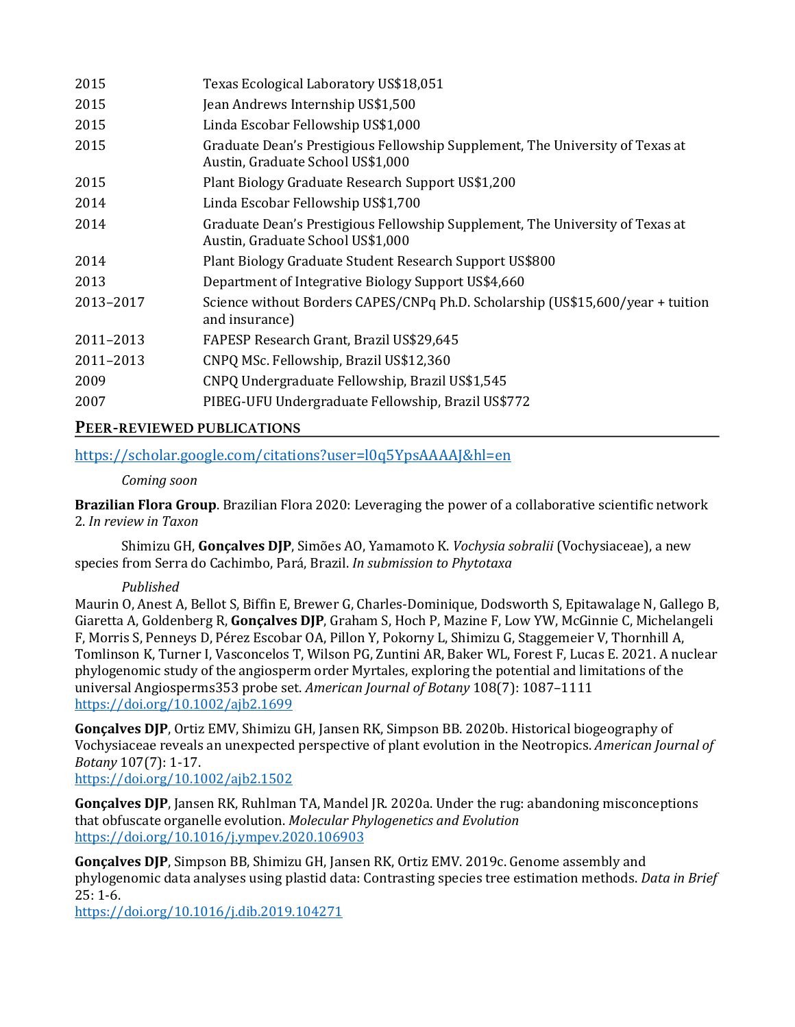| 2015      | Texas Ecological Laboratory US\$18,051                                                                             |
|-----------|--------------------------------------------------------------------------------------------------------------------|
| 2015      | Jean Andrews Internship US\$1,500                                                                                  |
| 2015      | Linda Escobar Fellowship US\$1,000                                                                                 |
| 2015      | Graduate Dean's Prestigious Fellowship Supplement, The University of Texas at<br>Austin, Graduate School US\$1,000 |
| 2015      | Plant Biology Graduate Research Support US\$1,200                                                                  |
| 2014      | Linda Escobar Fellowship US\$1,700                                                                                 |
| 2014      | Graduate Dean's Prestigious Fellowship Supplement, The University of Texas at<br>Austin, Graduate School US\$1,000 |
| 2014      | Plant Biology Graduate Student Research Support US\$800                                                            |
| 2013      | Department of Integrative Biology Support US\$4,660                                                                |
| 2013-2017 | Science without Borders CAPES/CNPq Ph.D. Scholarship (US\$15,600/year + tuition<br>and insurance)                  |
| 2011-2013 | FAPESP Research Grant, Brazil US\$29,645                                                                           |
| 2011-2013 | CNPQ MSc. Fellowship, Brazil US\$12,360                                                                            |
| 2009      | CNPQ Undergraduate Fellowship, Brazil US\$1,545                                                                    |
| 2007      | PIBEG-UFU Undergraduate Fellowship, Brazil US\$772                                                                 |
|           |                                                                                                                    |

# **PEER-REVIEWED PUBLICATIONS**

https://scholar.google.com/citations?user=l0q5YpsAAAAJ&hl=en

### *Coming soon*

**Brazilian Flora Group**. Brazilian Flora 2020: Leveraging the power of a collaborative scientific network 2. *In review in Taxon*

Shimizu GH, Gonçalves DJP, Simões AO, Yamamoto K. *Vochysia sobralii* (Vochysiaceae), a new species from Serra do Cachimbo, Pará, Brazil. *In submission to Phytotaxa* 

## *Published*

Maurin O, Anest A, Bellot S, Biffin E, Brewer G, Charles-Dominique, Dodsworth S, Epitawalage N, Gallego B, Giaretta A, Goldenberg R, Gonçalves DJP, Graham S, Hoch P, Mazine F, Low YW, McGinnie C, Michelangeli F, Morris S, Penneys D, Pérez Escobar OA, Pillon Y, Pokorny L, Shimizu G, Staggemeier V, Thornhill A, Tomlinson K, Turner I, Vasconcelos T, Wilson PG, Zuntini AR, Baker WL, Forest F, Lucas E. 2021. A nuclear phylogenomic study of the angiosperm order Myrtales, exploring the potential and limitations of the universal Angiosperms353 probe set. *American Journal of Botany* 108(7): 1087–1111 https://doi.org/10.1002/ajb2.1699

**Gonçalves DJP**, Ortiz EMV, Shimizu GH, Jansen RK, Simpson BB. 2020b. Historical biogeography of Vochysiaceae reveals an unexpected perspective of plant evolution in the Neotropics. *American Journal of Botany* 107(7): 1-17.

https://doi.org/10.1002/ajb2.1502

**Gonçalves DJP**, Jansen RK, Ruhlman TA, Mandel JR. 2020a. Under the rug: abandoning misconceptions that obfuscate organelle evolution. *Molecular Phylogenetics and Evolution* https://doi.org/10.1016/j.ympev.2020.106903

**Gonçalves DJP**, Simpson BB, Shimizu GH, Jansen RK, Ortiz EMV. 2019c. Genome assembly and phylogenomic data analyses using plastid data: Contrasting species tree estimation methods. *Data in Brief*  $25:1-6.$ 

https://doi.org/10.1016/j.dib.2019.104271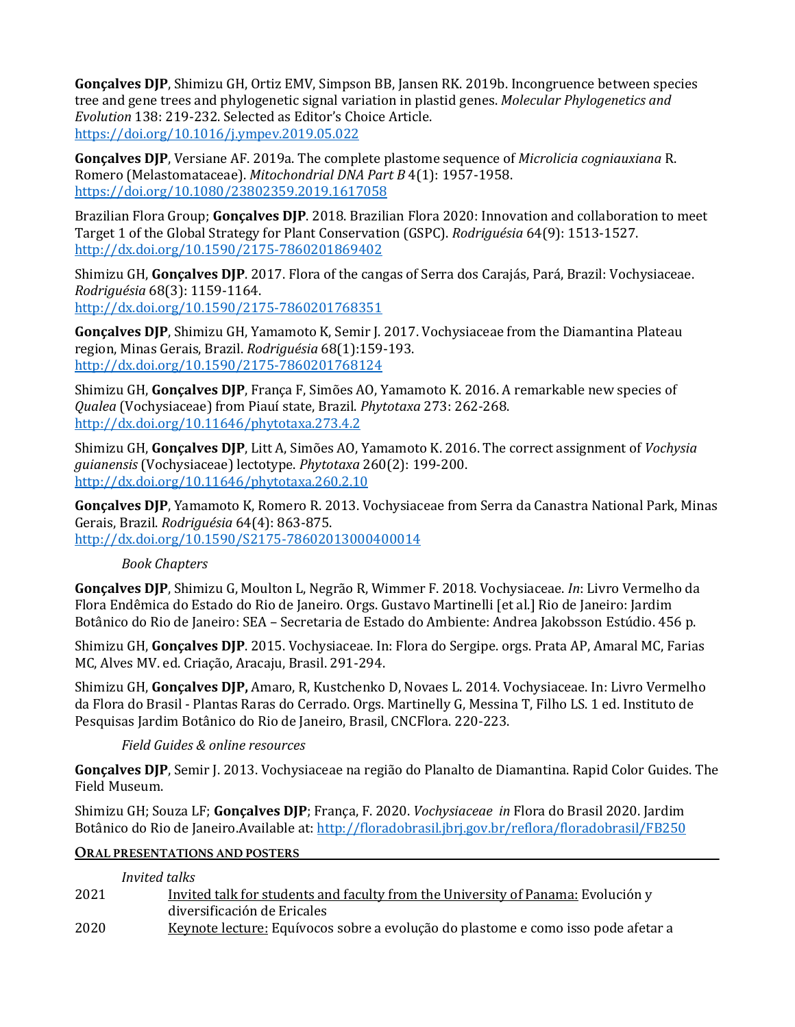**Gonçalves DJP**, Shimizu GH, Ortiz EMV, Simpson BB, Jansen RK. 2019b. Incongruence between species tree and gene trees and phylogenetic signal variation in plastid genes. *Molecular Phylogenetics and Evolution* 138: 219-232. Selected as Editor's Choice Article. https://doi.org/10.1016/j.ympev.2019.05.022 

**Gonçalves DJP**, Versiane AF. 2019a. The complete plastome sequence of *Microlicia cogniauxiana* R. Romero (Melastomataceae). *Mitochondrial DNA Part B* 4(1): 1957-1958. https://doi.org/10.1080/23802359.2019.1617058

Brazilian Flora Group; **Gonçalves DJP**. 2018. Brazilian Flora 2020: Innovation and collaboration to meet Target 1 of the Global Strategy for Plant Conservation (GSPC). *Rodriguésia* 64(9): 1513-1527. http://dx.doi.org/10.1590/2175-7860201869402

Shimizu GH, **Gonçalves DJP**. 2017. Flora of the cangas of Serra dos Carajás, Pará, Brazil: Vochysiaceae. *Rodriguésia* 68(3): 1159-1164. http://dx.doi.org/10.1590/2175-7860201768351

**Gonçalves DJP**, Shimizu GH, Yamamoto K, Semir J. 2017. Vochysiaceae from the Diamantina Plateau region, Minas Gerais, Brazil. *Rodriguésia* 68(1):159-193. http://dx.doi.org/10.1590/2175-7860201768124

Shimizu GH, **Gonçalves DJP**, França F, Simões AO, Yamamoto K. 2016. A remarkable new species of *Qualea* (Vochysiaceae) from Piauí state, Brazil. *Phytotaxa* 273: 262-268. http://dx.doi.org/10.11646/phytotaxa.273.4.2

Shimizu GH, **Gonçalves DJP**, Litt A, Simões AO, Yamamoto K. 2016. The correct assignment of *Vochysia guianensis* (Vochysiaceae) lectotype. *Phytotaxa* 260(2): 199-200. http://dx.doi.org/10.11646/phytotaxa.260.2.10

**Gonçalves DJP**, Yamamoto K, Romero R. 2013. Vochysiaceae from Serra da Canastra National Park, Minas Gerais, Brazil. *Rodriguésia* 64(4): 863-875. http://dx.doi.org/10.1590/S2175-78602013000400014

# *Book Chapters*

**Gonçalves DJP**, Shimizu G, Moulton L, Negrão R, Wimmer F. 2018. Vochysiaceae. *In*: Livro Vermelho da Flora Endêmica do Estado do Rio de Janeiro. Orgs. Gustavo Martinelli [et al.] Rio de Janeiro: Jardim Botânico do Rio de Janeiro: SEA - Secretaria de Estado do Ambiente: Andrea Jakobsson Estúdio. 456 p.

Shimizu GH, **Goncalves DJP**. 2015. Vochysiaceae. In: Flora do Sergipe. orgs. Prata AP, Amaral MC, Farias MC, Alves MV. ed. Criação, Aracaju, Brasil. 291-294.

Shimizu GH, **Gonçalves DJP**, Amaro, R, Kustchenko D, Novaes L. 2014. Vochysiaceae. In: Livro Vermelho da Flora do Brasil - Plantas Raras do Cerrado. Orgs. Martinelly G, Messina T, Filho LS. 1 ed. Instituto de Pesquisas Jardim Botânico do Rio de Janeiro, Brasil, CNCFlora. 220-223.

## *Field Guides & online resources*

**Gonçalves DJP**, Semir J. 2013. Vochysiaceae na região do Planalto de Diamantina. Rapid Color Guides. The Field Museum.

Shimizu GH; Souza LF; **Gonçalves DJP**; França, F. 2020. *Vochysiaceae in* Flora do Brasil 2020. Jardim Botânico do Rio de Janeiro.Available at: http://floradobrasil.jbrj.gov.br/reflora/floradobrasil/FB250

## **ORAL PRESENTATIONS AND POSTERS**

|      | Invited talks                                                                     |
|------|-----------------------------------------------------------------------------------|
| 2021 | Invited talk for students and faculty from the University of Panama: Evolución y  |
|      | diversificación de Ericales                                                       |
| 2020 | Keynote lecture: Equívocos sobre a evolução do plastome e como isso pode afetar a |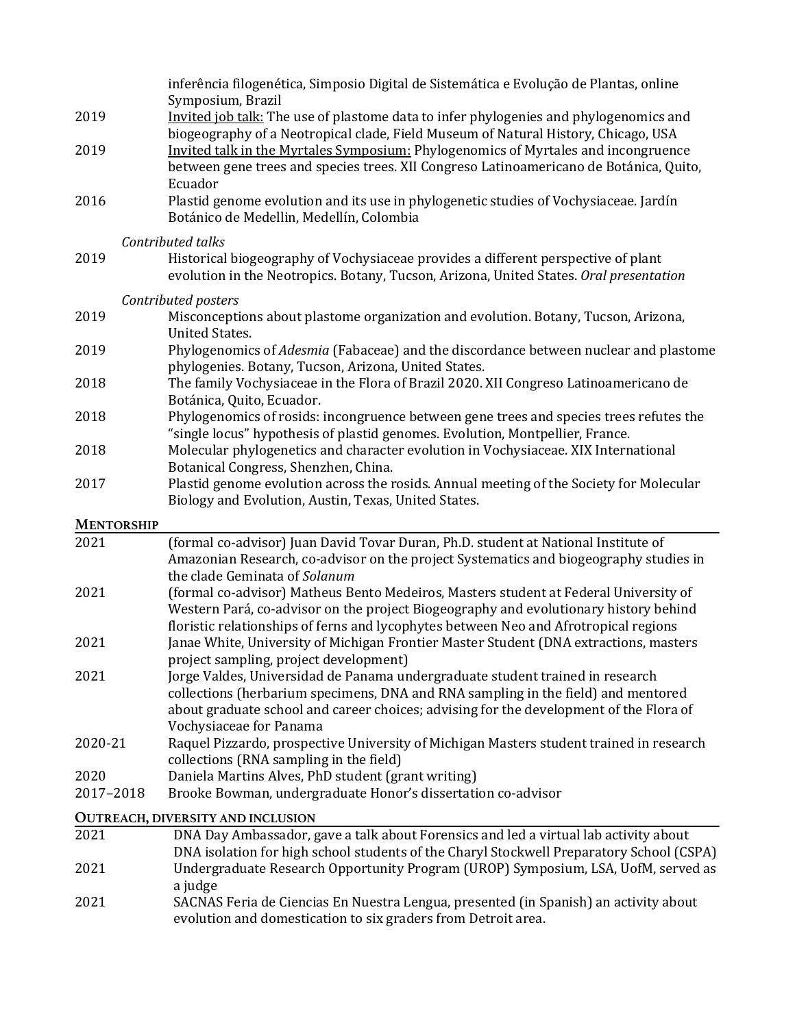|                   | inferência filogenética, Simposio Digital de Sistemática e Evolução de Plantas, online                                                                                        |  |  |
|-------------------|-------------------------------------------------------------------------------------------------------------------------------------------------------------------------------|--|--|
| 2019              | Symposium, Brazil<br>Invited job talk: The use of plastome data to infer phylogenies and phylogenomics and                                                                    |  |  |
|                   | biogeography of a Neotropical clade, Field Museum of Natural History, Chicago, USA                                                                                            |  |  |
| 2019              | Invited talk in the Myrtales Symposium: Phylogenomics of Myrtales and incongruence                                                                                            |  |  |
|                   | between gene trees and species trees. XII Congreso Latinoamericano de Botánica, Quito,                                                                                        |  |  |
|                   | Ecuador                                                                                                                                                                       |  |  |
| 2016              | Plastid genome evolution and its use in phylogenetic studies of Vochysiaceae. Jardín                                                                                          |  |  |
|                   | Botánico de Medellin, Medellín, Colombia                                                                                                                                      |  |  |
|                   | Contributed talks                                                                                                                                                             |  |  |
| 2019              | Historical biogeography of Vochysiaceae provides a different perspective of plant                                                                                             |  |  |
|                   | evolution in the Neotropics. Botany, Tucson, Arizona, United States. Oral presentation                                                                                        |  |  |
|                   | Contributed posters                                                                                                                                                           |  |  |
| 2019              | Misconceptions about plastome organization and evolution. Botany, Tucson, Arizona,                                                                                            |  |  |
|                   | <b>United States.</b>                                                                                                                                                         |  |  |
| 2019              | Phylogenomics of Adesmia (Fabaceae) and the discordance between nuclear and plastome                                                                                          |  |  |
|                   | phylogenies. Botany, Tucson, Arizona, United States.                                                                                                                          |  |  |
| 2018              | The family Vochysiaceae in the Flora of Brazil 2020. XII Congreso Latinoamericano de<br>Botánica, Quito, Ecuador.                                                             |  |  |
| 2018              | Phylogenomics of rosids: incongruence between gene trees and species trees refutes the                                                                                        |  |  |
|                   | "single locus" hypothesis of plastid genomes. Evolution, Montpellier, France.                                                                                                 |  |  |
| 2018              | Molecular phylogenetics and character evolution in Vochysiaceae. XIX International                                                                                            |  |  |
|                   | Botanical Congress, Shenzhen, China.                                                                                                                                          |  |  |
| 2017              | Plastid genome evolution across the rosids. Annual meeting of the Society for Molecular                                                                                       |  |  |
|                   | Biology and Evolution, Austin, Texas, United States.                                                                                                                          |  |  |
| <b>MENTORSHIP</b> |                                                                                                                                                                               |  |  |
| 2021              | (formal co-advisor) Juan David Tovar Duran, Ph.D. student at National Institute of                                                                                            |  |  |
|                   | Amazonian Research, co-advisor on the project Systematics and biogeography studies in                                                                                         |  |  |
|                   | the clade Geminata of Solanum                                                                                                                                                 |  |  |
| 2021              | (formal co-advisor) Matheus Bento Medeiros, Masters student at Federal University of                                                                                          |  |  |
|                   | Western Pará, co-advisor on the project Biogeography and evolutionary history behind                                                                                          |  |  |
| 2021              | floristic relationships of ferns and lycophytes between Neo and Afrotropical regions<br>Janae White, University of Michigan Frontier Master Student (DNA extractions, masters |  |  |
|                   | project sampling, project development)                                                                                                                                        |  |  |
| 2021              | Jorge Valdes, Universidad de Panama undergraduate student trained in research                                                                                                 |  |  |
|                   | collections (herbarium specimens, DNA and RNA sampling in the field) and mentored                                                                                             |  |  |
|                   | about graduate school and career choices; advising for the development of the Flora of                                                                                        |  |  |
|                   | Vochysiaceae for Panama                                                                                                                                                       |  |  |
| 2020-21           | Raquel Pizzardo, prospective University of Michigan Masters student trained in research                                                                                       |  |  |
|                   | collections (RNA sampling in the field)                                                                                                                                       |  |  |
| 2020              | Daniela Martins Alves, PhD student (grant writing)                                                                                                                            |  |  |
| 2017-2018         | Brooke Bowman, undergraduate Honor's dissertation co-advisor                                                                                                                  |  |  |
|                   | <b>OUTREACH, DIVERSITY AND INCLUSION</b>                                                                                                                                      |  |  |
| 2021              | DNA Day Ambassador, gave a talk about Forensics and led a virtual lab activity about                                                                                          |  |  |
| 2021              | DNA isolation for high school students of the Charyl Stockwell Preparatory School (CSPA)                                                                                      |  |  |
|                   |                                                                                                                                                                               |  |  |
|                   | Undergraduate Research Opportunity Program (UROP) Symposium, LSA, UofM, served as<br>a judge                                                                                  |  |  |

evolution and domestication to six graders from Detroit area.